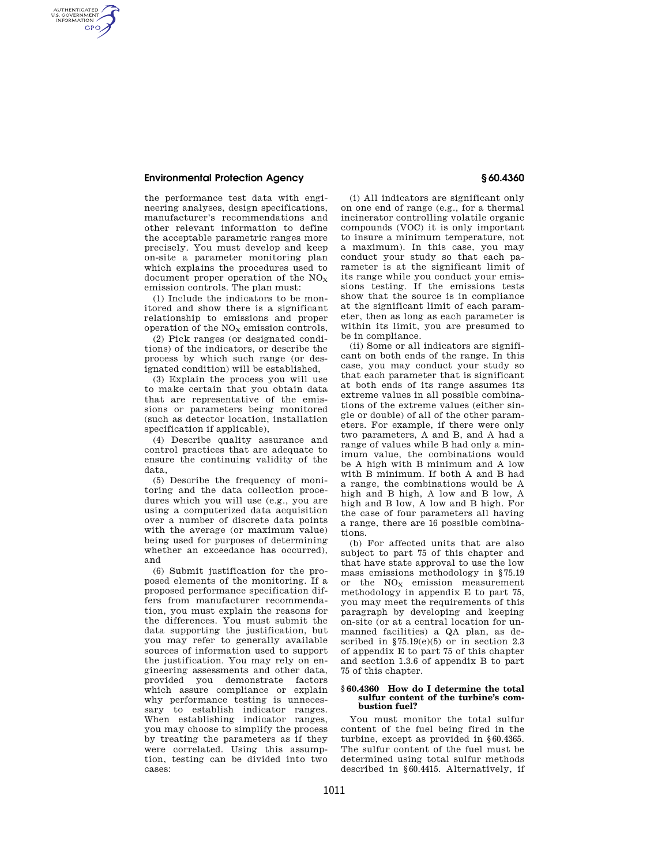## **Environmental Protection Agency § 60.4360**

AUTHENTICATED<br>U.S. GOVERNMENT<br>INFORMATION **GPO** 

> the performance test data with engineering analyses, design specifications, manufacturer's recommendations and other relevant information to define the acceptable parametric ranges more precisely. You must develop and keep on-site a parameter monitoring plan which explains the procedures used to document proper operation of the  $NO<sub>x</sub>$ emission controls. The plan must:

> (1) Include the indicators to be monitored and show there is a significant relationship to emissions and proper operation of the  $NO<sub>X</sub>$  emission controls,

> (2) Pick ranges (or designated conditions) of the indicators, or describe the process by which such range (or designated condition) will be established,

> (3) Explain the process you will use to make certain that you obtain data that are representative of the emissions or parameters being monitored (such as detector location, installation specification if applicable),

> (4) Describe quality assurance and control practices that are adequate to ensure the continuing validity of the data,

> (5) Describe the frequency of monitoring and the data collection procedures which you will use (e.g., you are using a computerized data acquisition over a number of discrete data points with the average (or maximum value) being used for purposes of determining whether an exceedance has occurred), and

> (6) Submit justification for the proposed elements of the monitoring. If a proposed performance specification differs from manufacturer recommendation, you must explain the reasons for the differences. You must submit the data supporting the justification, but you may refer to generally available sources of information used to support the justification. You may rely on engineering assessments and other data, provided you demonstrate factors which assure compliance or explain why performance testing is unnecessary to establish indicator ranges. When establishing indicator ranges, you may choose to simplify the process by treating the parameters as if they were correlated. Using this assumption, testing can be divided into two cases:

(i) All indicators are significant only on one end of range (e.g., for a thermal incinerator controlling volatile organic compounds (VOC) it is only important to insure a minimum temperature, not a maximum). In this case, you may conduct your study so that each parameter is at the significant limit of its range while you conduct your emissions testing. If the emissions tests show that the source is in compliance at the significant limit of each parameter, then as long as each parameter is within its limit, you are presumed to be in compliance.

(ii) Some or all indicators are significant on both ends of the range. In this case, you may conduct your study so that each parameter that is significant at both ends of its range assumes its extreme values in all possible combinations of the extreme values (either single or double) of all of the other parameters. For example, if there were only two parameters, A and B, and A had a range of values while B had only a minimum value, the combinations would be A high with B minimum and A low with B minimum. If both A and B had a range, the combinations would be A high and B high, A low and B low, A high and B low, A low and B high. For the case of four parameters all having a range, there are 16 possible combinations.

(b) For affected units that are also subject to part 75 of this chapter and that have state approval to use the low mass emissions methodology in §75.19 or the  $NO<sub>x</sub>$  emission measurement methodology in appendix E to part 75, you may meet the requirements of this paragraph by developing and keeping on-site (or at a central location for unmanned facilities) a QA plan, as described in  $$75.19(e)(5)$  or in section 2.3 of appendix E to part 75 of this chapter and section 1.3.6 of appendix B to part 75 of this chapter.

## **§ 60.4360 How do I determine the total sulfur content of the turbine's combustion fuel?**

You must monitor the total sulfur content of the fuel being fired in the turbine, except as provided in §60.4365. The sulfur content of the fuel must be determined using total sulfur methods described in §60.4415. Alternatively, if